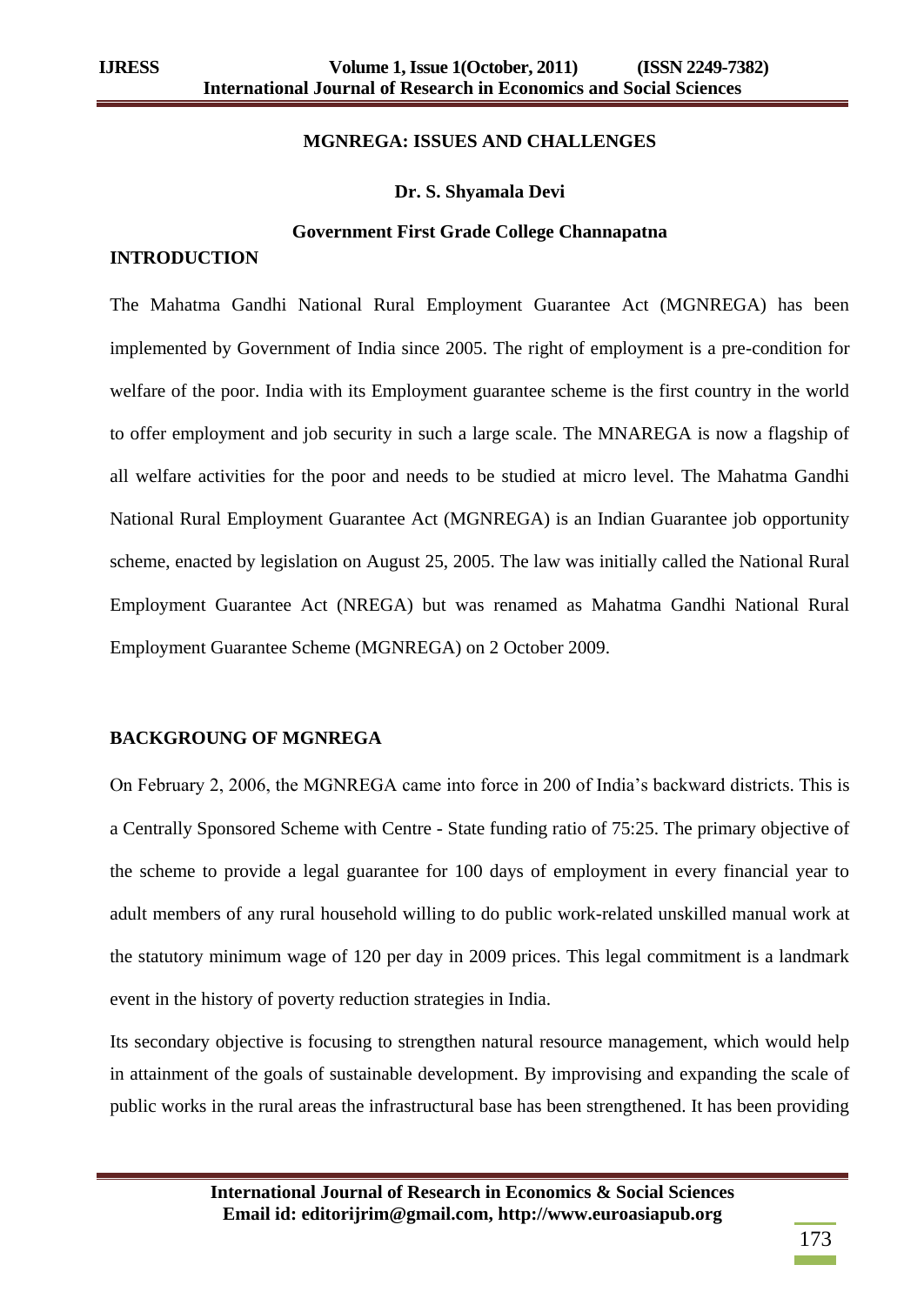#### **MGNREGA: ISSUES AND CHALLENGES**

#### **Dr. S. Shyamala Devi**

#### **Government First Grade College Channapatna**

#### **INTRODUCTION**

The Mahatma Gandhi National Rural Employment Guarantee Act (MGNREGA) has been implemented by Government of India since 2005. The right of employment is a pre-condition for welfare of the poor. India with its Employment guarantee scheme is the first country in the world to offer employment and job security in such a large scale. The MNAREGA is now a flagship of all welfare activities for the poor and needs to be studied at micro level. The Mahatma Gandhi National Rural Employment Guarantee Act (MGNREGA) is an Indian Guarantee job opportunity scheme, enacted by legislation on August 25, 2005. The law was initially called the National Rural Employment Guarantee Act (NREGA) but was renamed as Mahatma Gandhi National Rural Employment Guarantee Scheme (MGNREGA) on 2 October 2009.

### **BACKGROUNG OF MGNREGA**

On February 2, 2006, the MGNREGA came into force in 200 of India's backward districts. This is a Centrally Sponsored Scheme with Centre - State funding ratio of 75:25. The primary objective of the scheme to provide a legal guarantee for 100 days of employment in every financial year to adult members of any rural household willing to do public work-related unskilled manual work at the statutory minimum wage of 120 per day in 2009 prices. This legal commitment is a landmark event in the history of poverty reduction strategies in India.

Its secondary objective is focusing to strengthen natural resource management, which would help in attainment of the goals of sustainable development. By improvising and expanding the scale of public works in the rural areas the infrastructural base has been strengthened. It has been providing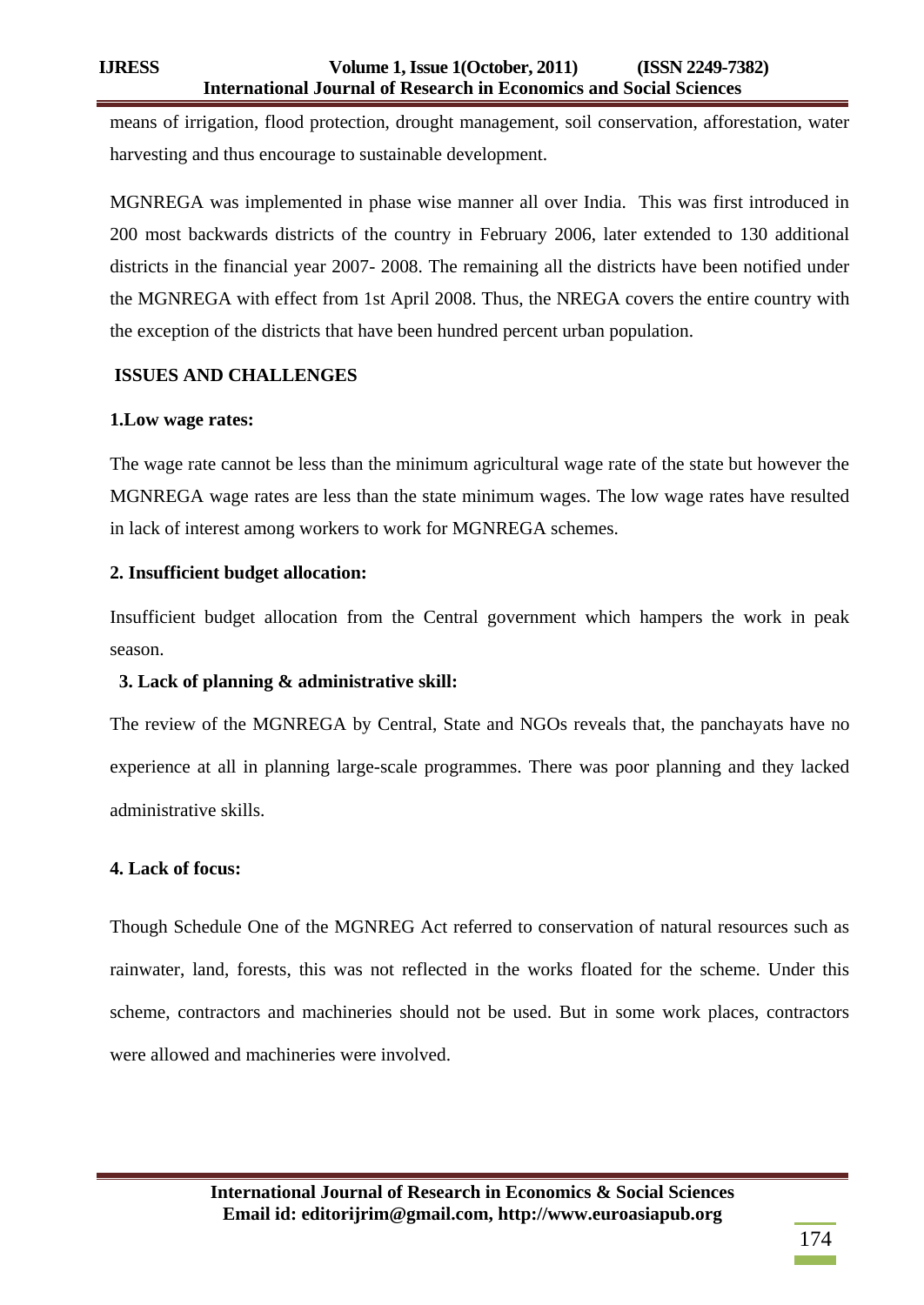means of irrigation, flood protection, drought management, soil conservation, afforestation, water harvesting and thus encourage to sustainable development.

MGNREGA was implemented in phase wise manner all over India. This was first introduced in 200 most backwards districts of the country in February 2006, later extended to 130 additional districts in the financial year 2007- 2008. The remaining all the districts have been notified under the MGNREGA with effect from 1st April 2008. Thus, the NREGA covers the entire country with the exception of the districts that have been hundred percent urban population.

# **ISSUES AND CHALLENGES**

### **1.Low wage rates:**

The wage rate cannot be less than the minimum agricultural wage rate of the state but however the MGNREGA wage rates are less than the state minimum wages. The low wage rates have resulted in lack of interest among workers to work for MGNREGA schemes.

# **2. Insufficient budget allocation:**

Insufficient budget allocation from the Central government which hampers the work in peak season.

# **3. Lack of planning & administrative skill:**

The review of the MGNREGA by Central, State and NGOs reveals that, the panchayats have no experience at all in planning large-scale programmes. There was poor planning and they lacked administrative skills.

# **4. Lack of focus:**

Though Schedule One of the MGNREG Act referred to conservation of natural resources such as rainwater, land, forests, this was not reflected in the works floated for the scheme. Under this scheme, contractors and machineries should not be used. But in some work places, contractors were allowed and machineries were involved.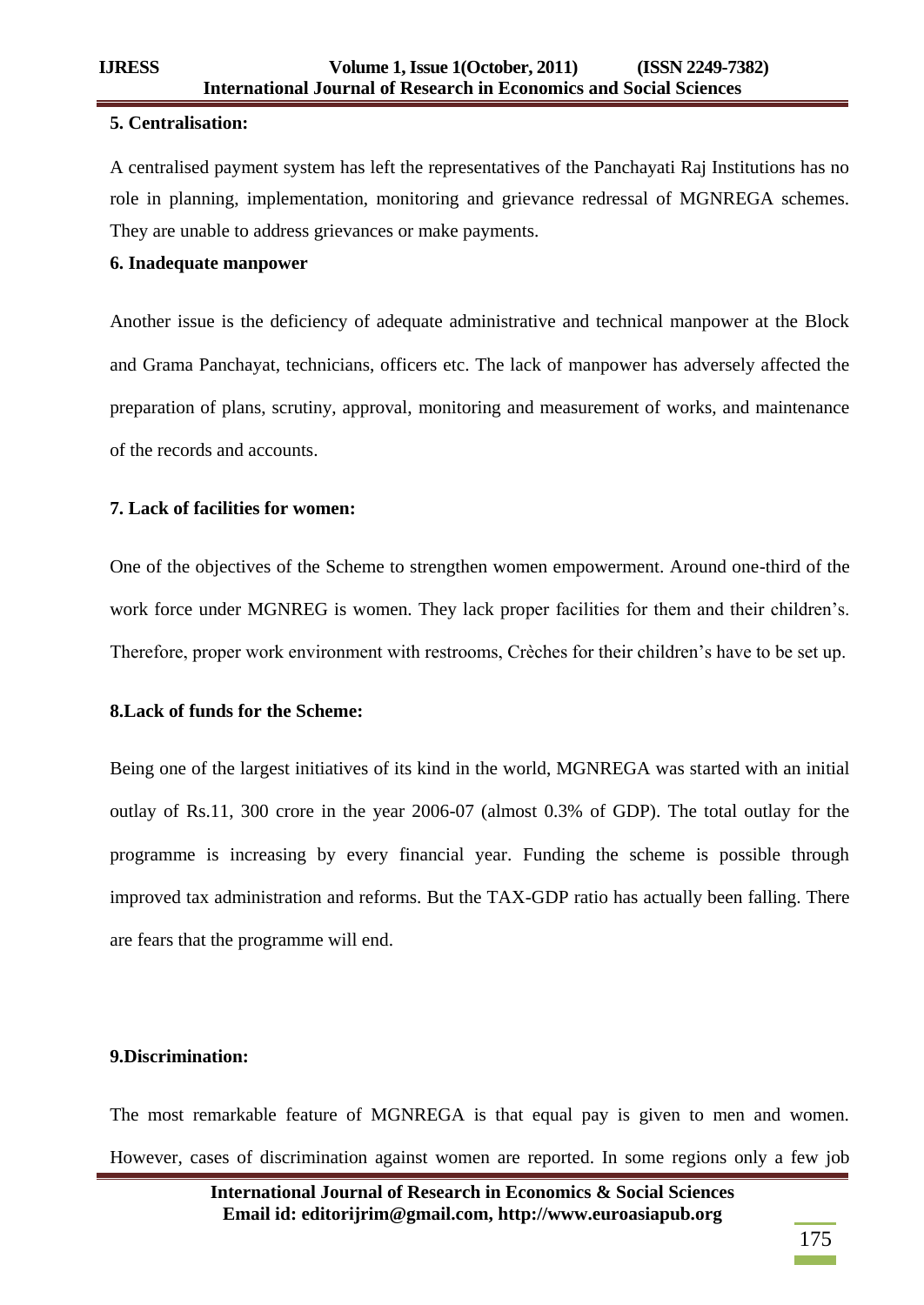### **5. Centralisation:**

A centralised payment system has left the representatives of the Panchayati Raj Institutions has no role in planning, implementation, monitoring and grievance redressal of MGNREGA schemes. They are unable to address grievances or make payments.

# **6. Inadequate manpower**

Another issue is the deficiency of adequate administrative and technical manpower at the Block and Grama Panchayat, technicians, officers etc. The lack of manpower has adversely affected the preparation of plans, scrutiny, approval, monitoring and measurement of works, and maintenance of the records and accounts.

# **7. Lack of facilities for women:**

One of the objectives of the Scheme to strengthen women empowerment. Around one-third of the work force under MGNREG is women. They lack proper facilities for them and their children's. Therefore, proper work environment with restrooms, Crèches for their children's have to be set up.

# **8.Lack of funds for the Scheme:**

Being one of the largest initiatives of its kind in the world, MGNREGA was started with an initial outlay of Rs.11, 300 crore in the year 2006-07 (almost 0.3% of GDP). The total outlay for the programme is increasing by every financial year. Funding the scheme is possible through improved tax administration and reforms. But the TAX-GDP ratio has actually been falling. There are fears that the programme will end.

# **9.Discrimination:**

The most remarkable feature of MGNREGA is that equal pay is given to men and women. However, cases of discrimination against women are reported. In some regions only a few job